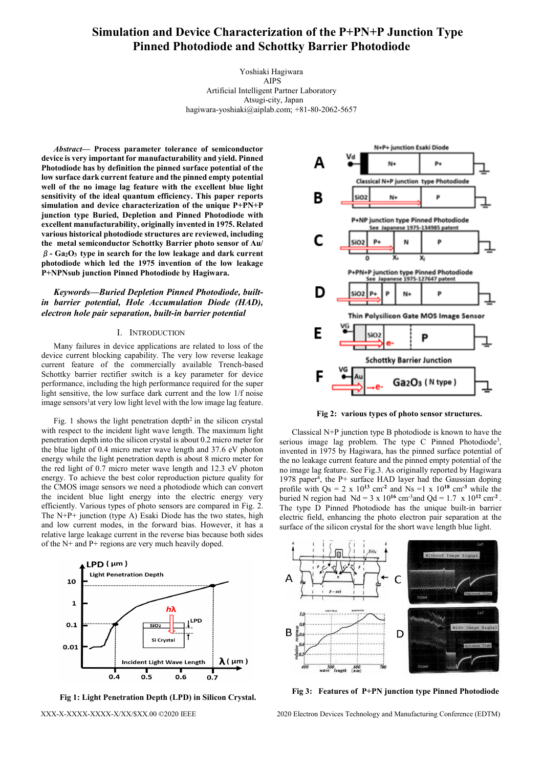# **Simulation and Device Characterization of the P+PN+P Junction Type Pinned Photodiode and Schottky Barrier Photodiode**

Yoshiaki Hagiwara AIPS Artificial Intelligent Partner Laboratory Atsugi-city, Japan hagiwara-yoshiaki@aiplab.com; +81-80-2062-5657

*Abstract***— Process parameter tolerance of semiconductor device is very important for manufacturability and yield. Pinned Photodiode has by definition the pinned surface potential of the low surface dark current feature and the pinned empty potential well of the no image lag feature with the excellent blue light sensitivity of the ideal quantum efficiency. This paper reports simulation and device characterization of the unique P+PN+P junction type Buried, Depletion and Pinned Photodiode with excellent manufacturability, originally invented in 1975. Related various historical photodiode structures are reviewed, including the metal semiconductor Schottky Barrier photo sensor of Au/** β**- Ga2O3 type in search for the low leakage and dark current photodiode which led the 1975 invention of the low leakage P+NPNsub junction Pinned Photodiode by Hagiwara.** 

*Keywords—Buried Depletion Pinned Photodiode, builtin barrier potential, Hole Accumulation Diode (HAD), electron hole pair separation, built-in barrier potential* 

# I. INTRODUCTION

Many failures in device applications are related to loss of the device current blocking capability. The very low reverse leakage current feature of the commercially available Trench-based Schottky barrier rectifier switch is a key parameter for device performance, including the high performance required for the super light sensitive, the low surface dark current and the low 1/f noise image sensors<sup>1</sup>at very low light level with the low image lag feature.

Fig. 1 shows the light penetration depth<sup>2</sup> in the silicon crystal with respect to the incident light wave length. The maximum light penetration depth into the silicon crystal is about 0.2 micro meter for the blue light of 0.4 micro meter wave length and 37.6 eV photon energy while the light penetration depth is about 8 micro meter for the red light of 0.7 micro meter wave length and 12.3 eV photon energy. To achieve the best color reproduction picture quality for the CMOS image sensors we need a photodiode which can convert the incident blue light energy into the electric energy very efficiently. Various types of photo sensors are compared in Fig. 2. The N+P+ junction (type A) Esaki Diode has the two states, high and low current modes, in the forward bias. However, it has a relative large leakage current in the reverse bias because both sides of the N+ and P+ regions are very much heavily doped.



**Fig 1: Light Penetration Depth (LPD) in Silicon Crystal.** 



**Fig 2: various types of photo sensor structures.** 

Classical N+P junction type B photodiode is known to have the serious image lag problem. The type C Pinned Photodiode<sup>3</sup>, invented in 1975 by Hagiwara, has the pinned surface potential of the no leakage current feature and the pinned empty potential of the no image lag feature. See Fig.3. As originally reported by Hagiwara 1978 paper<sup>4</sup>, the P+ surface HAD layer had the Gaussian doping profile with  $Os = 2 \times 10^{13}$  cm<sup>-2</sup> and  $Ns = 1 \times 10^{18}$  cm<sup>-3</sup> while the buried N region had  $Nd = 3 \times 10^{16}$  cm<sup>-3</sup> and  $Qd = 1.7 \times 10^{12}$  cm<sup>-2</sup>. The type D Pinned Photodiode has the unique built-in barrier electric field, enhancing the photo electron pair separation at the surface of the silicon crystal for the short wave length blue light.



 **Fig 3: Features of P+PN junction type Pinned Photodiode** 

XXX-X-XXXX-XXXX-X/XX/\$XX.00 ©2020 IEEE 2020 Electron Devices Technology and Manufacturing Conference (EDTM)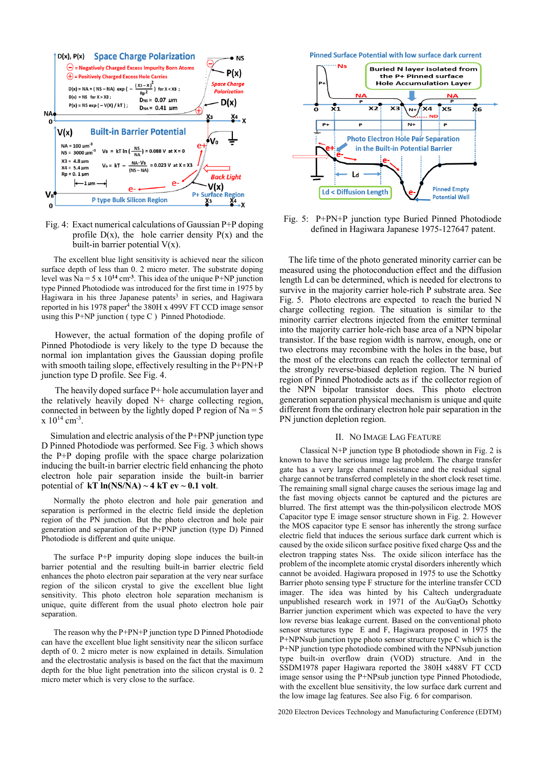

Fig. 4: Exact numerical calculations of Gaussian P+P doping profile  $D(x)$ , the hole carrier density  $P(x)$  and the built-in barrier potential  $V(x)$ .

The excellent blue light sensitivity is achieved near the silicon surface depth of less than 0. 2 micro meter. The substrate doping level was  $Na = 5 \times 10^{14}$  cm<sup>-3</sup>. This idea of the unique P+NP junction type Pinned Photodiode was introduced for the first time in 1975 by Hagiwara in his three Japanese patents<sup>3</sup> in series, and Hagiwara reported in his 1978 paper<sup>4</sup> the 380H x 499V FT CCD image sensor using this P+NP junction ( type C ) Pinned Photodiode.

However, the actual formation of the doping profile of Pinned Photodiode is very likely to the type D because the normal ion implantation gives the Gaussian doping profile with smooth tailing slope, effectively resulting in the P+PN+P junction type D profile. See Fig. 4.

The heavily doped surface P+ hole accumulation layer and the relatively heavily doped N+ charge collecting region, connected in between by the lightly doped P region of  $Na = 5$  $x 10^{14}$  cm<sup>-3</sup>.

Simulation and electric analysis of the P+PNP junction type D Pinned Photodiode was performed. See Fig. 3 which shows the P+P doping profile with the space charge polarization inducing the built-in barrier electric field enhancing the photo electron hole pair separation inside the built-in barrier potential of  $kT \ln(NS/NA) \sim 4 kT$  ev  $\sim 0.1$  volt.

Normally the photo electron and hole pair generation and separation is performed in the electric field inside the depletion region of the PN junction. But the photo electron and hole pair generation and separation of the P+PNP junction (type D) Pinned Photodiode is different and quite unique.

The surface P+P impurity doping slope induces the built-in barrier potential and the resulting built-in barrier electric field enhances the photo electron pair separation at the very near surface region of the silicon crystal to give the excellent blue light sensitivity. This photo electron hole separation mechanism is unique, quite different from the usual photo electron hole pair separation.

The reason why the P+PN+P junction type D Pinned Photodiode can have the excellent blue light sensitivity near the silicon surface depth of 0. 2 micro meter is now explained in details. Simulation and the electrostatic analysis is based on the fact that the maximum depth for the blue light penetration into the silicon crystal is 0. 2 micro meter which is very close to the surface.



Fig. 5: P+PN+P junction type Buried Pinned Photodiode defined in Hagiwara Japanese 1975-127647 patent.

The life time of the photo generated minority carrier can be measured using the photoconduction effect and the diffusion length Ld can be determined, which is needed for electrons to survive in the majority carrier hole-rich P substrate area. See Fig. 5. Photo electrons are expected to reach the buried N charge collecting region. The situation is similar to the minority carrier electrons injected from the emitter terminal into the majority carrier hole-rich base area of a NPN bipolar transistor. If the base region width is narrow, enough, one or two electrons may recombine with the holes in the base, but the most of the electrons can reach the collector terminal of the strongly reverse-biased depletion region. The N buried region of Pinned Photodiode acts as if the collector region of the NPN bipolar transistor does. This photo electron generation separation physical mechanism is unique and quite different from the ordinary electron hole pair separation in the PN junction depletion region.

#### II. NO IMAGE LAG FEATURE

Classical N+P junction type B photodiode shown in Fig. 2 is known to have the serious image lag problem. The charge transfer gate has a very large channel resistance and the residual signal charge cannot be transferred completely in the short clock reset time. The remaining small signal charge causes the serious image lag and the fast moving objects cannot be captured and the pictures are blurred. The first attempt was the thin-polysilicon electrode MOS Capacitor type E image sensor structure shown in Fig. 2. However the MOS capacitor type E sensor has inherently the strong surface electric field that induces the serious surface dark current which is caused by the oxide silicon surface positive fixed charge Qss and the electron trapping states Nss. The oxide silicon interface has the problem of the incomplete atomic crystal disorders inherently which cannot be avoided. Hagiwara proposed in 1975 to use the Schottky Barrier photo sensing type F structure for the interline transfer CCD imager. The idea was hinted by his Caltech undergraduate unpublished research work in 1971 of the Au/Ga**2**O**3** Schottky Barrier junction experiment which was expected to have the very low reverse bias leakage current. Based on the conventional photo sensor structures type E and F, Hagiwara proposed in 1975 the P+NPNsub junction type photo sensor structure type C which is the P+NP junction type photodiode combined with the NPNsub junction type built-in overflow drain (VOD) structure. And in the SSDM1978 paper Hagiwara reported the 380H x488V FT CCD image sensor using the P+NPsub junction type Pinned Photodiode, with the excellent blue sensitivity, the low surface dark current and the low image lag features. See also Fig. 6 for comparison.

2020 Electron Devices Technology and Manufacturing Conference (EDTM)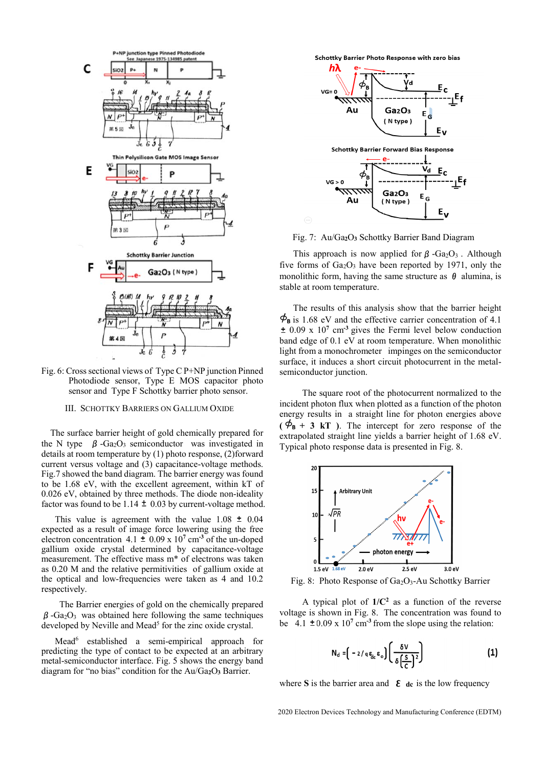

Fig. 6: Cross sectional views of Type C P+NP junction Pinned Photodiode sensor, Type E MOS capacitor photo sensor and Type F Schottky barrier photo sensor.

## III. SCHOTTKY BARRIERS ON GALLIUM OXIDE

 The surface barrier height of gold chemically prepared for the N type  $\beta$  -Ga<sub>2</sub>O<sub>3</sub> semiconductor was investigated in details at room temperature by (1) photo response, (2)forward current versus voltage and (3) capacitance-voltage methods. Fig.7 showed the band diagram. The barrier energy was found to be 1.68 eV, with the excellent agreement, within kT of 0.026 eV, obtained by three methods. The diode non-ideality factor was found to be 1.14  $\pm$  0.03 by current-voltage method.

This value is agreement with the value  $1.08 \pm 0.04$ expected as a result of image force lowering using the free electron concentration  $4.1 \pm 0.09 \times 10^7 \text{ cm}^3$  of the un-doped gallium oxide crystal determined by capacitance-voltage measurement. The effective mass m\* of electrons was taken as 0.20 M and the relative permitivities of gallium oxide at the optical and low-frequencies were taken as 4 and 10.2 respectively.

 The Barrier energies of gold on the chemically prepared  $\beta$ -Ga<sub>2</sub>O<sub>3</sub> was obtained here following the same techniques developed by Neville and Mead<sup>5</sup> for the zinc oxide crystal.

Mead<sup>6</sup> established a semi-empirical approach for predicting the type of contact to be expected at an arbitrary metal-semiconductor interface. Fig. 5 shows the energy band diagram for "no bias" condition for the Au/Ga**2**O**3** Barrier.

Schottky Barrier Photo Response with zero bias



Fig. 7: Au/Ga**2**O**3** Schottky Barrier Band Diagram

This approach is now applied for  $\beta$  -Ga<sub>2</sub>O<sub>3</sub>. Although five forms of  $Ga<sub>2</sub>O<sub>3</sub>$  have been reported by 1971, only the monolithic form, having the same structure as  $\theta$  alumina, is stable at room temperature.

 The results of this analysis show that the barrier height  $\phi_{\text{B}}$  is 1.68 eV and the effective carrier concentration of 4.1 0.09 x 10**<sup>7</sup>** cm**-3** gives the Fermi level below conduction band edge of 0.1 eV at room temperature. When monolithic light from a monochrometer impinges on the semiconductor surface, it induces a short circuit photocurrent in the metalsemiconductor junction.

The square root of the photocurrent normalized to the incident photon flux when plotted as a function of the photon energy results in a straight line for photon energies above  $(\phi_{\rm B} + 3 \text{ kT})$ . The intercept for zero response of the extrapolated straight line yields a barrier height of 1.68 eV. Typical photo response data is presented in Fig. 8.



Fig. 8: Photo Response of  $Ga<sub>2</sub>O<sub>3</sub>$ -Au Schottky Barrier

A typical plot of  $1/C^2$  as a function of the reverse voltage is shown in Fig. 8. The concentration was found to be  $4.1 \pm 0.09 \times 10^7 \text{ cm}^3$  from the slope using the relation:

$$
N_d = \left( -2 / q \epsilon_{dc} \epsilon_o \right) \left( \frac{\delta V}{\delta \left( \frac{S}{C} \right)^2} \right) \tag{1}
$$

where **S** is the barrier area and  $\epsilon$  **de** is the low frequency

2020 Electron Devices Technology and Manufacturing Conference (EDTM)